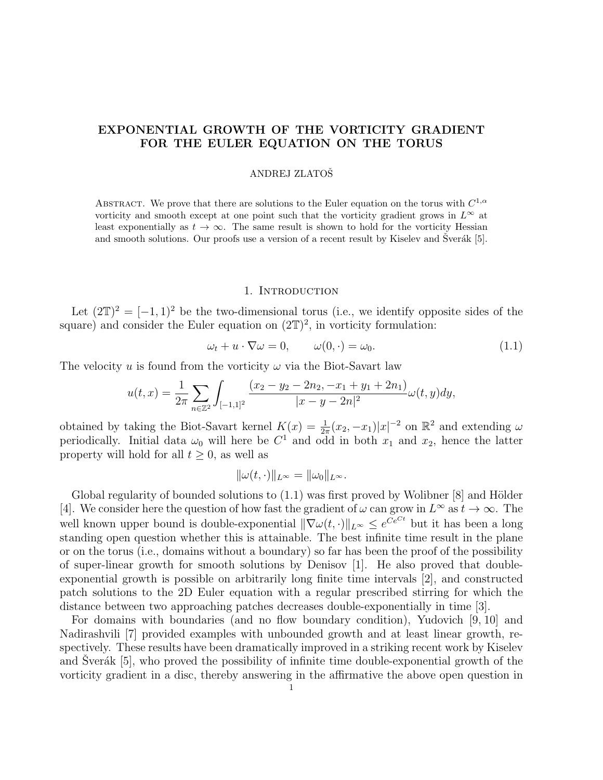# EXPONENTIAL GROWTH OF THE VORTICITY GRADIENT FOR THE EULER EQUATION ON THE TORUS

## ANDREJ ZLATOSˇ

ABSTRACT. We prove that there are solutions to the Euler equation on the torus with  $C^{1,\alpha}$ vorticity and smooth except at one point such that the vorticity gradient grows in  $L^{\infty}$  at least exponentially as  $t \to \infty$ . The same result is shown to hold for the vorticity Hessian and smooth solutions. Our proofs use a version of a recent result by Kiselev and Sverák  $[5]$ .

### 1. INTRODUCTION

Let  $(2\mathbb{T})^2 = [-1,1)^2$  be the two-dimensional torus (i.e., we identify opposite sides of the square) and consider the Euler equation on  $(2\mathbb{T})^2$ , in vorticity formulation:

$$
\omega_t + u \cdot \nabla \omega = 0, \qquad \omega(0, \cdot) = \omega_0. \tag{1.1}
$$

The velocity u is found from the vorticity  $\omega$  via the Biot-Savart law

$$
u(t,x) = \frac{1}{2\pi} \sum_{n \in \mathbb{Z}^2} \int_{[-1,1]^2} \frac{(x_2 - y_2 - 2n_2, -x_1 + y_1 + 2n_1)}{|x - y - 2n|^2} \omega(t,y) dy,
$$

obtained by taking the Biot-Savart kernel  $K(x) = \frac{1}{2\pi}(x_2, -x_1)|x|^{-2}$  on  $\mathbb{R}^2$  and extending  $\omega$ periodically. Initial data  $\omega_0$  will here be  $C^1$  and odd in both  $x_1$  and  $x_2$ , hence the latter property will hold for all  $t > 0$ , as well as

$$
\|\omega(t,\cdot)\|_{L^\infty} = \|\omega_0\|_{L^\infty}.
$$

Global regularity of bounded solutions to  $(1.1)$  was first proved by Wolibner [8] and Hölder [4]. We consider here the question of how fast the gradient of  $\omega$  can grow in  $L^{\infty}$  as  $t \to \infty$ . The well known upper bound is double-exponential  $\|\nabla\omega(t,\cdot)\|_{L^{\infty}} \leq e^{Ce^{Ct}}$  but it has been a long standing open question whether this is attainable. The best infinite time result in the plane or on the torus (i.e., domains without a boundary) so far has been the proof of the possibility of super-linear growth for smooth solutions by Denisov [1]. He also proved that doubleexponential growth is possible on arbitrarily long finite time intervals [2], and constructed patch solutions to the 2D Euler equation with a regular prescribed stirring for which the distance between two approaching patches decreases double-exponentially in time [3].

For domains with boundaries (and no flow boundary condition), Yudovich [9, 10] and Nadirashvili [7] provided examples with unbounded growth and at least linear growth, respectively. These results have been dramatically improved in a striking recent work by Kiselev and Sverák  $[5]$ , who proved the possibility of infinite time double-exponential growth of the vorticity gradient in a disc, thereby answering in the affirmative the above open question in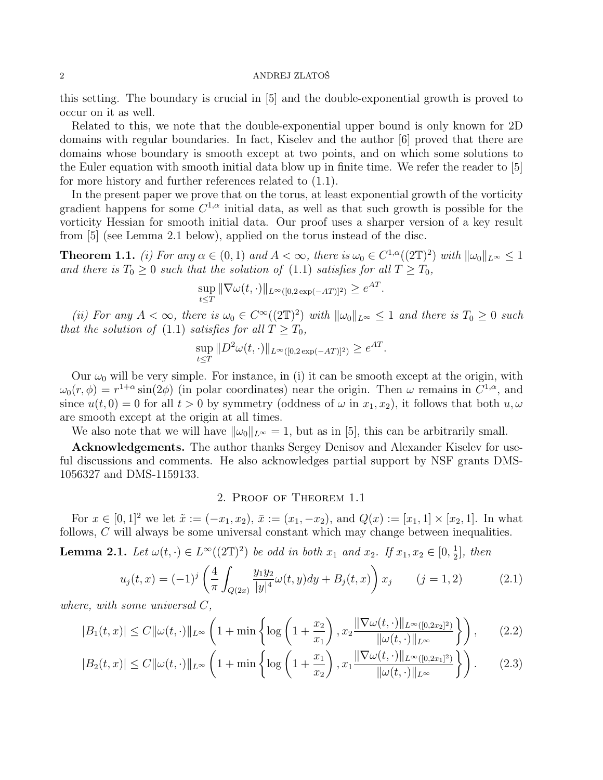#### 2 ANDREJ ZLATOŠ

this setting. The boundary is crucial in [5] and the double-exponential growth is proved to occur on it as well.

Related to this, we note that the double-exponential upper bound is only known for 2D domains with regular boundaries. In fact, Kiselev and the author [6] proved that there are domains whose boundary is smooth except at two points, and on which some solutions to the Euler equation with smooth initial data blow up in finite time. We refer the reader to [5] for more history and further references related to (1.1).

In the present paper we prove that on the torus, at least exponential growth of the vorticity gradient happens for some  $C^{1,\alpha}$  initial data, as well as that such growth is possible for the vorticity Hessian for smooth initial data. Our proof uses a sharper version of a key result from [5] (see Lemma 2.1 below), applied on the torus instead of the disc.

**Theorem 1.1.** (i) For any  $\alpha \in (0,1)$  and  $A < \infty$ , there is  $\omega_0 \in C^{1,\alpha}((2\mathbb{T})^2)$  with  $\|\omega_0\|_{L^{\infty}} \leq 1$ and there is  $T_0 \geq 0$  such that the solution of (1.1) satisfies for all  $T \geq T_0$ ,

$$
\sup_{t \le T} \|\nabla \omega(t, \cdot)\|_{L^{\infty}([0, 2\exp(-AT)]^2)} \ge e^{AT}
$$

.

(ii) For any  $A < \infty$ , there is  $\omega_0 \in C^{\infty}((2\mathbb{T})^2)$  with  $\|\omega_0\|_{L^{\infty}} \leq 1$  and there is  $T_0 \geq 0$  such that the solution of (1.1) satisfies for all  $T \geq T_0$ ,

$$
\sup_{t \le T} \| D^2 \omega(t, \cdot) \|_{L^\infty([0, 2 \exp(-AT)]^2)} \ge e^{AT}.
$$

Our  $\omega_0$  will be very simple. For instance, in (i) it can be smooth except at the origin, with  $\omega_0(r,\phi) = r^{1+\alpha} \sin(2\phi)$  (in polar coordinates) near the origin. Then  $\omega$  remains in  $C^{1,\alpha}$ , and since  $u(t, 0) = 0$  for all  $t > 0$  by symmetry (oddness of  $\omega$  in  $x_1, x_2$ ), it follows that both  $u, \omega$ are smooth except at the origin at all times.

We also note that we will have  $\|\omega_0\|_{L^\infty} = 1$ , but as in [5], this can be arbitrarily small.

Acknowledgements. The author thanks Sergey Denisov and Alexander Kiselev for useful discussions and comments. He also acknowledges partial support by NSF grants DMS-1056327 and DMS-1159133.

## 2. Proof of Theorem 1.1

For  $x \in [0,1]^2$  we let  $\tilde{x} := (-x_1, x_2)$ ,  $\bar{x} := (x_1, -x_2)$ , and  $Q(x) := [x_1, 1] \times [x_2, 1]$ . In what follows, C will always be some universal constant which may change between inequalities.

**Lemma 2.1.** Let  $\omega(t, \cdot) \in L^{\infty}((2\mathbb{T})^2)$  be odd in both  $x_1$  and  $x_2$ . If  $x_1, x_2 \in [0, \frac{1}{2}]$  $\frac{1}{2}$ , then

$$
u_j(t,x) = (-1)^j \left( \frac{4}{\pi} \int_{Q(2x)} \frac{y_1 y_2}{|y|^4} \omega(t,y) dy + B_j(t,x) \right) x_j \qquad (j = 1,2)
$$
 (2.1)

where, with some universal C,

$$
|B_1(t,x)| \le C \|\omega(t,\cdot)\|_{L^\infty} \left(1 + \min\left\{\log\left(1 + \frac{x_2}{x_1}\right), x_2 \frac{\|\nabla\omega(t,\cdot)\|_{L^\infty([0,2x_2]^2)}}{\|\omega(t,\cdot)\|_{L^\infty}}\right\}\right),\tag{2.2}
$$

$$
|B_2(t,x)| \le C \|\omega(t,\cdot)\|_{L^\infty} \left(1 + \min\left\{\log\left(1 + \frac{x_1}{x_2}\right), x_1 \frac{\|\nabla\omega(t,\cdot)\|_{L^\infty([0,2x_1]^2)}}{\|\omega(t,\cdot)\|_{L^\infty}}\right\}\right). \tag{2.3}
$$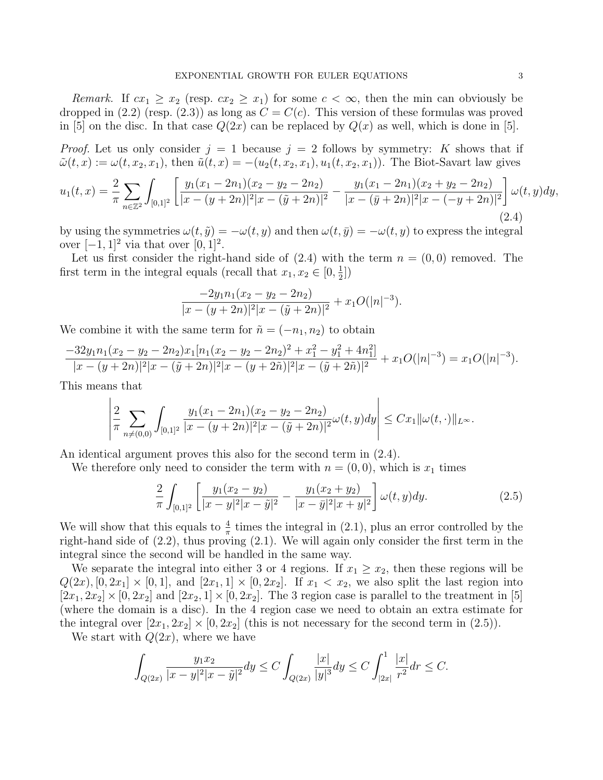Remark. If  $cx_1 \geq x_2$  (resp.  $cx_2 \geq x_1$ ) for some  $c < \infty$ , then the min can obviously be dropped in (2.2) (resp. (2.3)) as long as  $C = C(c)$ . This version of these formulas was proved in [5] on the disc. In that case  $Q(2x)$  can be replaced by  $Q(x)$  as well, which is done in [5].

*Proof.* Let us only consider  $j = 1$  because  $j = 2$  follows by symmetry: K shows that if  $\tilde{\omega}(t,x) := \omega(t,x_2,x_1)$ , then  $\tilde{u}(t,x) = -(u_2(t,x_2,x_1), u_1(t,x_2,x_1))$ . The Biot-Savart law gives

$$
u_1(t,x) = \frac{2}{\pi} \sum_{n \in \mathbb{Z}^2} \int_{[0,1]^2} \left[ \frac{y_1(x_1 - 2n_1)(x_2 - y_2 - 2n_2)}{|x - (y + 2n)|^2 |x - (\tilde{y} + 2n)|^2} - \frac{y_1(x_1 - 2n_1)(x_2 + y_2 - 2n_2)}{|x - (\bar{y} + 2n)|^2 |x - (-y + 2n)|^2} \right] \omega(t,y) dy,
$$
\n(2.4)

by using the symmetries  $\omega(t, \tilde{y}) = -\omega(t, y)$  and then  $\omega(t, \bar{y}) = -\omega(t, y)$  to express the integral over  $[-1, 1]^2$  via that over  $[0, 1]^2$ .

Let us first consider the right-hand side of  $(2.4)$  with the term  $n = (0, 0)$  removed. The first term in the integral equals (recall that  $x_1, x_2 \in [0, \frac{1}{2}]$  $\frac{1}{2}]$ 

$$
\frac{-2y_1n_1(x_2 - y_2 - 2n_2)}{|x - (y + 2n)|^2|x - (\tilde{y} + 2n)|^2} + x_1O(|n|^{-3}).
$$

We combine it with the same term for  $\tilde{n} = (-n_1, n_2)$  to obtain

$$
\frac{-32y_1n_1(x_2-y_2-2n_2)x_1[n_1(x_2-y_2-2n_2)^2+x_1^2-y_1^2+4n_1^2]}{|x-(y+2n)|^2|x-(\tilde{y}+2n)|^2|x-(y+2\tilde{n})|^2|x-(\tilde{y}+2\tilde{n})|^2}+x_1O(|n|^{-3})=x_1O(|n|^{-3}).
$$

This means that

$$
\left|\frac{2}{\pi}\sum_{n\neq(0,0)}\int_{[0,1]^2}\frac{y_1(x_1-2n_1)(x_2-y_2-2n_2)}{|x-(y+2n)|^2|x-(\tilde{y}+2n)|^2}\omega(t,y)dy\right|\leq Cx_1\|\omega(t,\cdot)\|_{L^\infty}.
$$

An identical argument proves this also for the second term in (2.4).

We therefore only need to consider the term with  $n = (0, 0)$ , which is  $x_1$  times

$$
\frac{2}{\pi} \int_{[0,1]^2} \left[ \frac{y_1(x_2 - y_2)}{|x - y|^2 |x - \tilde{y}|^2} - \frac{y_1(x_2 + y_2)}{|x - \bar{y}|^2 |x + y|^2} \right] \omega(t, y) dy. \tag{2.5}
$$

 $\overline{1}$ 

We will show that this equals to  $\frac{4}{\pi}$  times the integral in (2.1), plus an error controlled by the right-hand side of (2.2), thus proving (2.1). We will again only consider the first term in the integral since the second will be handled in the same way.

We separate the integral into either 3 or 4 regions. If  $x_1 \ge x_2$ , then these regions will be  $Q(2x), [0, 2x_1] \times [0, 1],$  and  $[2x_1, 1] \times [0, 2x_2]$ . If  $x_1 < x_2$ , we also split the last region into  $[2x_1, 2x_2] \times [0, 2x_2]$  and  $[2x_2, 1] \times [0, 2x_2]$ . The 3 region case is parallel to the treatment in [5] (where the domain is a disc). In the 4 region case we need to obtain an extra estimate for the integral over  $[2x_1, 2x_2] \times [0, 2x_2]$  (this is not necessary for the second term in (2.5)).

We start with  $Q(2x)$ , where we have

$$
\int_{Q(2x)} \frac{y_1 x_2}{|x - y|^2 |x - \tilde{y}|^2} dy \le C \int_{Q(2x)} \frac{|x|}{|y|^3} dy \le C \int_{|2x|}^1 \frac{|x|}{r^2} dr \le C.
$$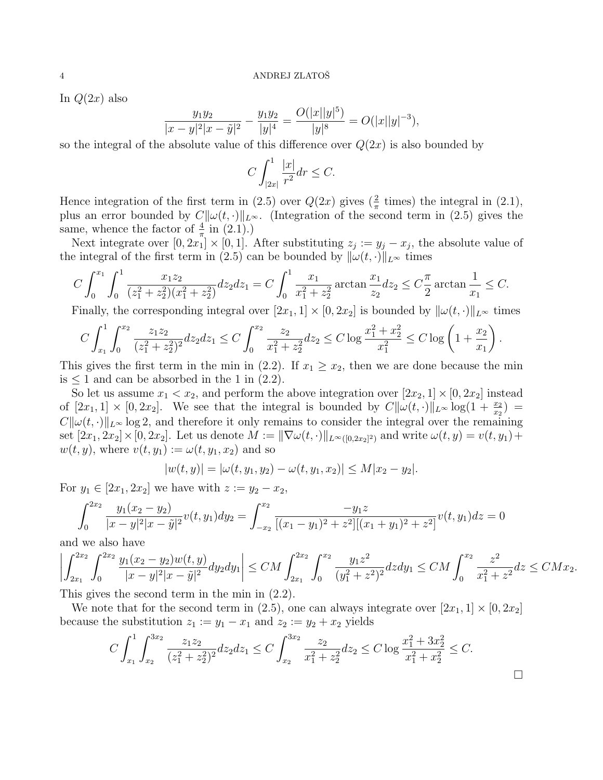In  $Q(2x)$  also

$$
\frac{y_1y_2}{|x-y|^2|x-\tilde{y}|^2} - \frac{y_1y_2}{|y|^4} = \frac{O(|x||y|^5)}{|y|^8} = O(|x||y|^{-3}),
$$

so the integral of the absolute value of this difference over  $Q(2x)$  is also bounded by

$$
C\int_{|2x|}^1\frac{|x|}{r^2}dr\leq C.
$$

Hence integration of the first term in (2.5) over  $Q(2x)$  gives  $(\frac{2}{\pi}$  times) the integral in (2.1), plus an error bounded by  $C\|\omega(t, \cdot)\|_{L^{\infty}}$ . (Integration of the second term in (2.5) gives the same, whence the factor of  $\frac{4}{\pi}$  in (2.1).)

Next integrate over  $[0, 2x_1] \times [0, 1]$ . After substituting  $z_j := y_j - x_j$ , the absolute value of the integral of the first term in (2.5) can be bounded by  $\|\omega(t, \cdot)\|_{L^{\infty}}$  times

$$
C\int_0^{x_1} \int_0^1 \frac{x_1 z_2}{(z_1^2 + z_2^2)(x_1^2 + z_2^2)} dz_2 dz_1 = C\int_0^1 \frac{x_1}{x_1^2 + z_2^2} \arctan \frac{x_1}{z_2} dz_2 \le C\frac{\pi}{2} \arctan \frac{1}{x_1} \le C.
$$

Finally, the corresponding integral over  $[2x_1, 1] \times [0, 2x_2]$  is bounded by  $\|\omega(t, \cdot)\|_{L^\infty}$  times

$$
C\int_{x_1}^1 \int_0^{x_2} \frac{z_1 z_2}{(z_1^2 + z_2^2)^2} dz_2 dz_1 \le C \int_0^{x_2} \frac{z_2}{x_1^2 + z_2^2} dz_2 \le C \log \frac{x_1^2 + x_2^2}{x_1^2} \le C \log \left(1 + \frac{x_2}{x_1}\right).
$$

This gives the first term in the min in (2.2). If  $x_1 \ge x_2$ , then we are done because the min is  $\leq 1$  and can be absorbed in the 1 in (2.2).

So let us assume  $x_1 < x_2$ , and perform the above integration over  $[2x_2, 1] \times [0, 2x_2]$  instead of  $[2x_1, 1] \times [0, 2x_2]$ . We see that the integral is bounded by  $C||\omega(t, \cdot)||_{L^{\infty}}\log(1 + \frac{x_2}{x_2})$  $C\|\omega(t, \cdot)\|_{L^{\infty}}\log 2$ , and therefore it only remains to consider the integral over the remaining set  $[2x_1, 2x_2] \times [0, 2x_2]$ . Let us denote  $M := \|\nabla \omega(t, \cdot)\|_{L^{\infty}([0, 2x_2]^2)}$  and write  $\omega(t, y) = v(t, y_1) +$  $w(t, y)$ , where  $v(t, y_1) := \omega(t, y_1, x_2)$  and so

$$
|w(t,y)| = |\omega(t,y_1,y_2) - \omega(t,y_1,x_2)| \le M|x_2 - y_2|.
$$

For  $y_1 \in [2x_1, 2x_2]$  we have with  $z := y_2 - x_2$ ,

$$
\int_0^{2x_2} \frac{y_1(x_2 - y_2)}{|x - y|^2 |x - \tilde{y}|^2} v(t, y_1) dy_2 = \int_{-x_2}^{x_2} \frac{-y_1 z}{[(x_1 - y_1)^2 + z^2][(x_1 + y_1)^2 + z^2]} v(t, y_1) dz = 0
$$

and we also have

$$
\left| \int_{2x_1}^{2x_2} \int_0^{2x_2} \frac{y_1(x_2 - y_2)w(t, y)}{|x - y|^2 |x - \tilde{y}|^2} dy_2 dy_1 \right| \le CM \int_{2x_1}^{2x_2} \int_0^{x_2} \frac{y_1 z^2}{(y_1^2 + z^2)^2} dz dy_1 \le CM \int_0^{x_2} \frac{z^2}{x_1^2 + z^2} dz \le CMx_2.
$$

This gives the second term in the min in (2.2).

We note that for the second term in (2.5), one can always integrate over  $[2x_1, 1] \times [0, 2x_2]$ because the substitution  $z_1 := y_1 - x_1$  and  $z_2 := y_2 + x_2$  yields

$$
C \int_{x_1}^1 \int_{x_2}^{3x_2} \frac{z_1 z_2}{(z_1^2 + z_2^2)^2} dz_2 dz_1 \le C \int_{x_2}^{3x_2} \frac{z_2}{x_1^2 + z_2^2} dz_2 \le C \log \frac{x_1^2 + 3x_2^2}{x_1^2 + x_2^2} \le C.
$$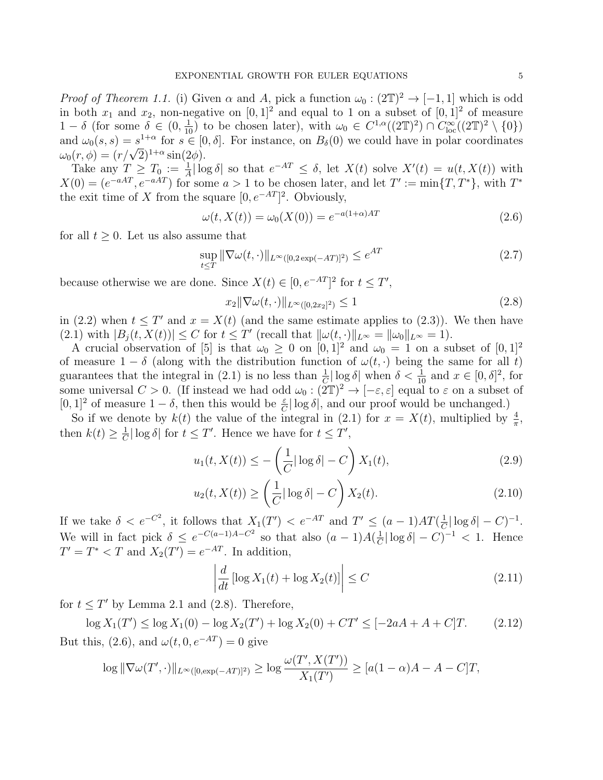*Proof of Theorem 1.1.* (i) Given  $\alpha$  and A, pick a function  $\omega_0 : (2\mathbb{T})^2 \to [-1,1]$  which is odd in both  $x_1$  and  $x_2$ , non-negative on  $[0, 1]^2$  and equal to 1 on a subset of  $[0, 1]^2$  of measure 1 - δ (for some  $\delta \in (0, \frac{1}{10})$  to be chosen later), with  $\omega_0 \in C^{1,\alpha}((2\mathbb{T})^2) \cap C^{\infty}_{loc}((2\mathbb{T})^2 \setminus \{0\})$ and  $\omega_0(s,s) = s^{1+\alpha}$  for  $s \in [0,\delta]$ . For instance, on  $B_\delta(0)$  we could have in polar coordinates and  $\omega_0(s, s) = s^{-(s-1)}$  for  $s \in [0, \omega_0(r, \phi)] = (r/\sqrt{2})^{1+\alpha} \sin(2\phi)$ .

Take any  $T \geq T_0 := \frac{1}{A} |\log \delta|$  so that  $e^{-AT} \leq \delta$ , let  $X(t)$  solve  $X'(t) = u(t, X(t))$  with  $X(0) = (e^{-aAT}, e^{-aAT})$  for some  $a > 1$  to be chosen later, and let  $T' := \min\{T, T^*\}$ , with  $T^*$ the exit time of X from the square  $[0, e^{-AT}]^2$ . Obviously,

$$
\omega(t, X(t)) = \omega_0(X(0)) = e^{-a(1+\alpha)AT}
$$
\n(2.6)

for all  $t > 0$ . Let us also assume that

$$
\sup_{t \le T} \|\nabla \omega(t, \cdot)\|_{L^{\infty}([0, 2\exp(-AT)]^2)} \le e^{AT}
$$
\n(2.7)

because otherwise we are done. Since  $X(t) \in [0, e^{-AT}]^2$  for  $t \leq T'$ ,

$$
x_2 \|\nabla \omega(t, \cdot)\|_{L^\infty([0, 2x_2]^2)} \le 1
$$
\n(2.8)

in (2.2) when  $t \leq T'$  and  $x = X(t)$  (and the same estimate applies to (2.3)). We then have (2.1) with  $|B_j(t, X(t))| \leq C$  for  $t \leq T'$  (recall that  $\|\omega(t, \cdot)\|_{L^\infty} = \|\omega_0\|_{L^\infty} = 1$ ).

A crucial observation of [5] is that  $\omega_0 \geq 0$  on  $[0, 1]^2$  and  $\omega_0 = 1$  on a subset of  $[0, 1]^2$ of measure  $1 - \delta$  (along with the distribution function of  $\omega(t, \cdot)$  being the same for all t) guarantees that the integral in (2.1) is no less than  $\frac{1}{C}|\log \delta|$  when  $\delta < \frac{1}{10}$  and  $x \in [0, \delta]^2$ , for some universal  $C > 0$ . (If instead we had odd  $\omega_0 : (2\mathbb{T})^2 \to [-\varepsilon, \varepsilon]$  equal to  $\varepsilon$  on a subset of [0, 1]<sup>2</sup> of measure  $1 - \delta$ , then this would be  $\frac{\varepsilon}{C}$  log  $\delta$ , and our proof would be unchanged.)

So if we denote by  $k(t)$  the value of the integral in (2.1) for  $x = X(t)$ , multiplied by  $\frac{4}{\pi}$ , then  $k(t) \geq \frac{1}{C}$  $\frac{1}{C} |\log \delta|$  for  $t \leq T'$ . Hence we have for  $t \leq T'$ ,

$$
u_1(t, X(t)) \le -\left(\frac{1}{C}|\log \delta| - C\right)X_1(t),\tag{2.9}
$$

$$
u_2(t, X(t)) \ge \left(\frac{1}{C}|\log \delta| - C\right)X_2(t). \tag{2.10}
$$

If we take  $\delta < e^{-C^2}$ , it follows that  $X_1(T') < e^{-AT}$  and  $T' \leq (a-1)AT(\frac{1}{C}|\log \delta| - C)^{-1}$ .  $\mathcal{C}_{0}^{(n)}$ We will in fact pick  $\delta \leq e^{-C(a-1)A-C^2}$  so that also  $(a-1)A(\frac{1}{C}$  $\frac{1}{C}|\log \delta| - C)^{-1} < 1.$  Hence  $T' = T^* < T$  and  $X_2(T') = e^{-AT}$ . In addition,

$$
\left| \frac{d}{dt} \left[ \log X_1(t) + \log X_2(t) \right] \right| \le C \tag{2.11}
$$

for  $t \leq T'$  by Lemma 2.1 and (2.8). Therefore,

 $\log X_1(T') \leq \log X_1(0) - \log X_2(T') + \log X_2(0) + CT' \leq [-2aA + A + C]T.$  (2.12) But this, (2.6), and  $\omega(t, 0, e^{-AT}) = 0$  give

$$
\log \|\nabla \omega(T',\cdot)\|_{L^\infty([0,\exp(-AT)]^2)} \ge \log \frac{\omega(T',X(T'))}{X_1(T')} \ge [a(1-\alpha)A-A-C]T,
$$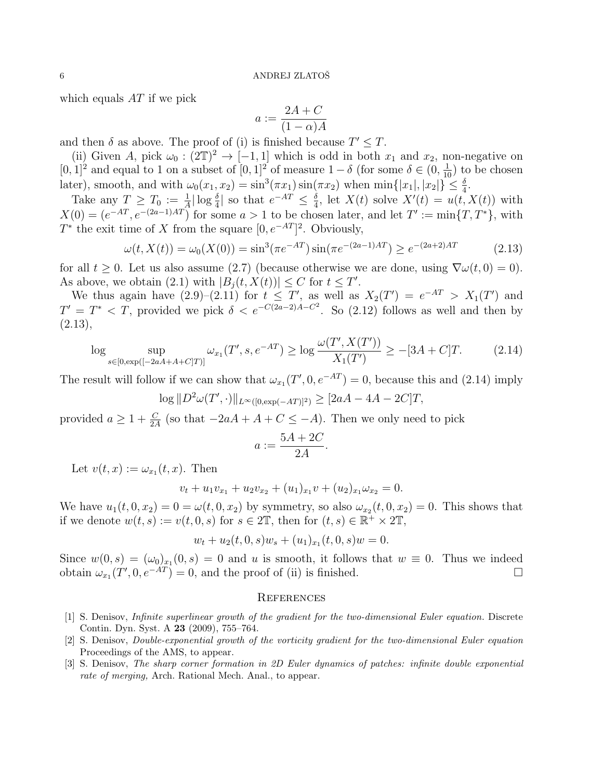which equals  $AT$  if we pick

$$
a := \frac{2A + C}{(1 - \alpha)A}
$$

and then  $\delta$  as above. The proof of (i) is finished because  $T' \leq T$ .

(ii) Given A, pick  $\omega_0 : (2\mathbb{T})^2 \to [-1,1]$  which is odd in both  $x_1$  and  $x_2$ , non-negative on [0, 1]<sup>2</sup> and equal to 1 on a subset of  $[0, 1]$ <sup>2</sup> of measure  $1 - \delta$  (for some  $\delta \in (0, \frac{1}{10})$  to be chosen later), smooth, and with  $\omega_0(x_1, x_2) = \sin^3(\pi x_1) \sin(\pi x_2)$  when  $\min\{|x_1|, |x_2|\} \leq \frac{\delta}{4}$ .

Take any  $T \geq T_0 := \frac{1}{|A|} \log \frac{\delta}{4}$  so that  $e^{-AT} \leq \frac{\delta}{4}$  $\frac{\delta}{4}$ , let  $X(t)$  solve  $X'(t) = u(t, X(t))$  with  $X(0) = (e^{-AT}, e^{-(2a-1)AT})$  for some  $a > 1$  to be chosen later, and let  $T' := \min\{T, T^*\}$ , with  $T^*$  the exit time of X from the square  $[0, e^{-AT}]^2$ . Obviously,

$$
\omega(t, X(t)) = \omega_0(X(0)) = \sin^3(\pi e^{-AT})\sin(\pi e^{-(2a-1)AT}) \ge e^{-(2a+2)AT}
$$
\n(2.13)

for all  $t \geq 0$ . Let us also assume (2.7) (because otherwise we are done, using  $\nabla \omega(t,0) = 0$ ). As above, we obtain (2.1) with  $|B_j(t, X(t))| \leq C$  for  $t \leq T'$ .

We thus again have  $(2.9)-(2.11)$  for  $t \leq T'$ , as well as  $X_2(T') = e^{-AT} > X_1(T')$  and  $T' = T^* < T$ , provided we pick  $\delta < e^{-C(2a-2)A-C^2}$ . So (2.12) follows as well and then by  $(2.13),$ 

$$
\log \sup_{s \in [0, \exp([-2aA + A + C]T)]} \omega_{x_1}(T', s, e^{-AT}) \ge \log \frac{\omega(T', X(T'))}{X_1(T')} \ge -[3A + C]T. \tag{2.14}
$$

The result will follow if we can show that  $\omega_{x_1}(T', 0, e^{-AT}) = 0$ , because this and (2.14) imply

$$
\log ||D^2 \omega(T', \cdot)||_{L^{\infty}([0, \exp(-AT)]^2)} \geq [2aA - 4A - 2C]T,
$$

provided  $a \geq 1 + \frac{C}{2A}$  (so that  $-2aA + A + C \leq -A$ ). Then we only need to pick

$$
a := \frac{5A + 2C}{2A}
$$

.

Let  $v(t, x) := \omega_{x_1}(t, x)$ . Then

$$
v_t + u_1v_{x_1} + u_2v_{x_2} + (u_1)_{x_1}v + (u_2)_{x_1}\omega_{x_2} = 0.
$$

We have  $u_1(t, 0, x_2) = 0 = \omega(t, 0, x_2)$  by symmetry, so also  $\omega_{x_2}(t, 0, x_2) = 0$ . This shows that if we denote  $w(t,s) := v(t,0,s)$  for  $s \in 2\mathbb{T}$ , then for  $(t,s) \in \mathbb{R}^+ \times 2\mathbb{T}$ ,

$$
w_t + u_2(t, 0, s)w_s + (u_1)_{x_1}(t, 0, s)w = 0.
$$

Since  $w(0,s) = (\omega_0)_{x_1}(0,s) = 0$  and u is smooth, it follows that  $w \equiv 0$ . Thus we indeed obtain  $\omega_{x_1}(T', 0, e^{-AT}) = 0$ , and the proof of (ii) is finished.

#### **REFERENCES**

- [1] S. Denisov, Infinite superlinear growth of the gradient for the two-dimensional Euler equation. Discrete Contin. Dyn. Syst. A 23 (2009), 755–764.
- [2] S. Denisov, Double-exponential growth of the vorticity gradient for the two-dimensional Euler equation Proceedings of the AMS, to appear.
- [3] S. Denisov, The sharp corner formation in 2D Euler dynamics of patches: infinite double exponential rate of merging, Arch. Rational Mech. Anal., to appear.